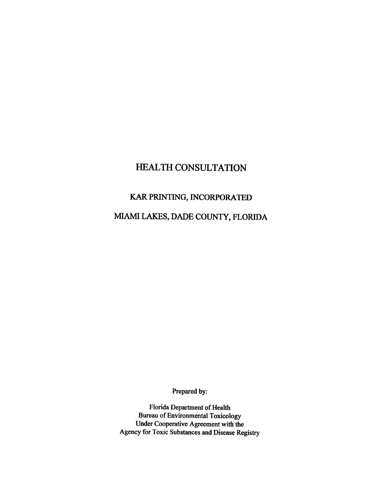## HEALTH CONSULTATION

## KAR PRINTING, INCORPORATED

# MIAMI LAKES, DADE COUNTY, FLORIDA

Prepared by:

Florida Department of Health Bureau of Environmental Toxicology Under Cooperative Agreement with the Agency for Toxic Substances and Disease Registry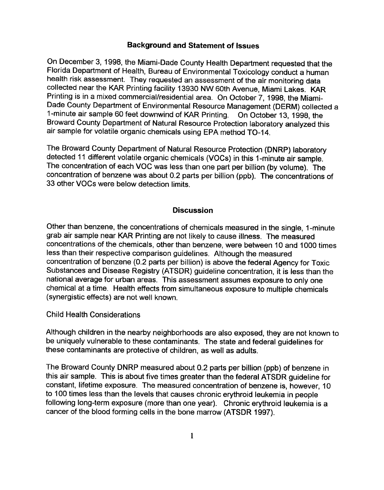#### Background and Statement of Issues

On December 3, 1998, the Miami-Dade County Health Department requested that the Florida Department of Health, Bureau of Environmental Toxicology conduct a human health risk assessment. They requested an assessment of the air monitoring data collected near the KAR Printing facility 13930 NW 60th Avenue, Miami Lakes. KAR Printing is in a mixed commercial/residential area. On October 7, 1998, the Miami-Dade County Department of Environmental Resource Management (DERM) collected a 1-minute air sample 60 feet downwirld of KAR Printing. On October 13, 1998, the Broward County Department of Natural Resource Protection laboratory analyzed this air sample for volatile organic chemicals using EPA method TO-14.

The Broward County Department of Natural Resource Protection (DNRP) laboratory detected 11 different volatile organic chemicals (VOCs) in this 1-minute air sample. The concentration of each VOC was less than one part per billion (by volume). The concentration of benzene was about 0.2 parts per billion (ppb). The concentrations of 33 other VOCs were below detection limits.

#### **Discussion**

Other than benzene, the concentrations of chemicals measured in the single, 1-minute grab air sample near KAR Printing are not likely to cause illness. The measured concentrations of the chemicals, other than benzene, were between 10 and 1000 times less than their respective comparison guidelines. Although the measured concentration of benzene (0.2 parts per billion) is above the federal Agency for Toxic Substances and Disease Registry (ATSDR) guideline concentration, it is less than the national average for urban areas. This assessment assumes exposure to only one chemical at a time. Health effects from simultaneous exposure to multiple chemicals (synergistic effects) are not well known.

Child Health Considerations

Although children in the nearby neighborhoods are also exposed, they are not known to be uniquely vulnerable to these contaminants. The state and federal guidelines for these contaminants are protective of children, as well as adults.

The Broward County DNRP measured about 0.2 parts per billion (ppb) of benzene in this air sample. This is about five times greater than the federal ATSDR guideline for constant, lifetime exposure. The measured concentration of benzene is, however, 10 to 100 times less than the levels that causes chronic erythroid leukemia in people following long-term exposure (more than one year). Chronic erythroid leukemia is a cancer of the blood forming cells in the bone marrow (ATSDR 1997).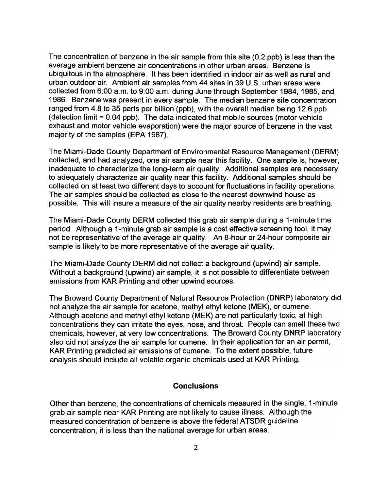The concentration of benzene in the air sample from this site (0.2 ppb) is less than the average ambient benzene air concentrations in other urban areas. Benzene is ubiquitous in the atmosphere. It has been identified in indoor air as well as rural and urban outdoor air. Ambient air samples from 44 sites in 39 U.S. urban areas were collected from 6:00 a.m. to 9:00 a.m. during June through September 1984, 1985, and 1986. Benzene was present in every sample. The median benzene site concentration ranged from 4.8 to 35 parts per billion (ppb), with the overall median being 12.6 ppb (detection limit  $= 0.04$  ppb). The data indicated that mobile sources (motor vehicle exhaust and motor vehicle evaporation) were the major source of benzene in the vast majority of the samples (EPA 1987).

The Miami-Dade County Department of Environmental Resource Management (DERM) collected, and had analyzed, one air sample near this facility. One sample is, however, inadequate to characterize the long-term air quality. Additional samples are necessary to adequately characterize air quality near this facility. Additional samples should be collected on at least two different days to account for fluctuations in facility operations. The air samples should be collected as close to the nearest downwind house as possible. This will insure a measure of the air quality nearby residents are breathing.

The Miami-Dade County DERM collected this grab air sample during a 1-minute time period. Although a 1-minute grab air sample is a cost effective screening tool, it may not be representative of the average air quality. An 8-hour or 24-hour composite air sample is likely to be more representative of the average air quality.

The Miami-Dade County DERM did not collect a background (upwind) air sample. Without a background (upwind) air sample, it is not possible to differentiate between emissions from KAR Printing and other upwind sources.

The Broward County Department of Natural Resource Protection (DNRP) laboratory did not analyze the air sample for acetone, methyl ethyl ketone (MEK), or cumene. Although acetone and methyl ethyl ketone (MEK) are not particularly toxic, at high concentrations they can irritate the eyes, nose, and throat. People can smell these two chemicals, however, at very low concentrations. The Broward County DNRP laboratory also did not analyze the air sample for cumene. In their application for an air permit, KAR Printing predicted air emissions of cumene. To the extent possible, future analysis should include all volatile organic chemicals used at KAR Printing.

#### **Conclusions**

Other than benzene, the concentrations of chemicals measured in the single, 1-minute grab air sample near KAR Printing are not likely to cause illness. Although the measured concentration of benzene is above the federal ATSDR guideline concentration, it is less than the national average for urban areas.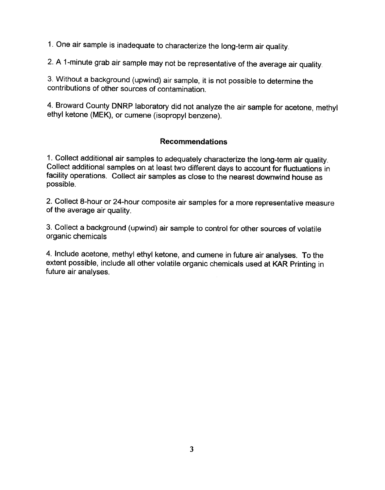1. One air sample is inadequate to characterize the long-term air quality.

2. A 1-minute grab air sample may not be representative of the average air quality.

3. Without a background (upwind) air sample, it is not possible to determine the contributions of other sources of contamination.

4. Broward County DNRP laboratory did not analyze the air sample for acetone, methyl ethyl ketone (MEK), or cumene (isopropyl benzene).

## **Recommendations**

1. Collect additional air samples to adequately characterize the long-term air quality. Collect additional samples on at least two different days to account for fluctuations in facility operations. Collect air samples as close to the nearest downwind house as possible.

2. Collect 8-hour or 24-hour composite air samples for a more representative measure of the average air quality.

3. Collect a background (upwind) air sample to control for other sources of volatile organic chemicals

4. Include acetone, methyl ethyl ketone, and cumene in future air analyses. To the extent possible, include all other volatile organic chemicals used at KAR Printing in future air analyses.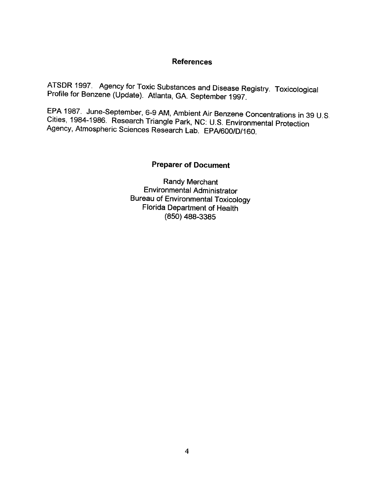## References

ATSDR 1997. Agency for Toxic Substances and Disease Registry. Toxicological Profile for Benzene (Update). Atlanta, GA. September 1997.

EPA 1987. June-September, 6-9 AM, Ambient Air Benzene Concentrations in 39 U.S. Cities, 1984-1986. Research Triangle Park, NC: U.S. Environmental Protection Agency, Atmospheric Sciences Research Lab. EPA/600/D/160.

## Preparer of Document

Randy Merchant Environmental Administrator Bureau of Environmental Toxicology Florida Department of Health (850) 488-3385